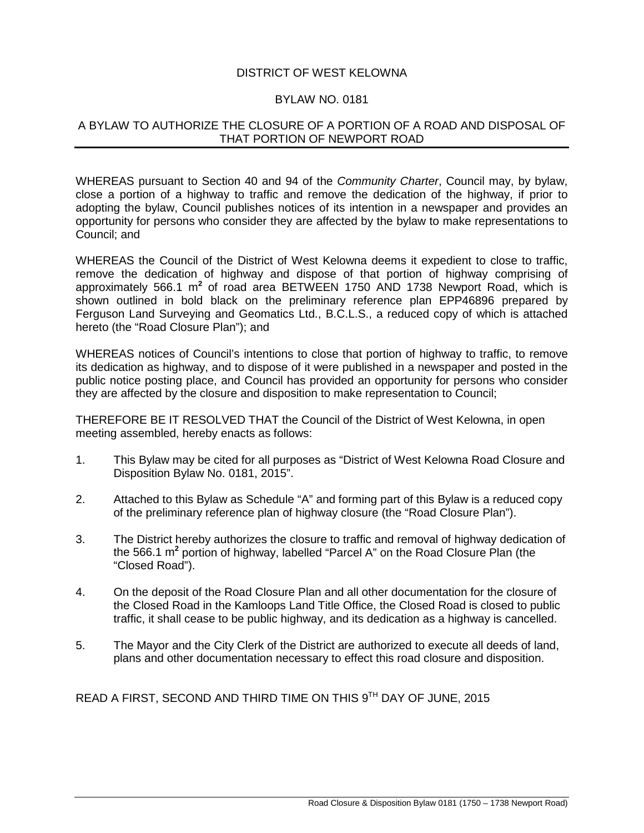## DISTRICT OF WEST KELOWNA

## BYLAW NO. 0181

## A BYLAW TO AUTHORIZE THE CLOSURE OF A PORTION OF A ROAD AND DISPOSAL OF THAT PORTION OF NEWPORT ROAD

WHEREAS pursuant to Section 40 and 94 of the *Community Charter*, Council may, by bylaw, close a portion of a highway to traffic and remove the dedication of the highway, if prior to adopting the bylaw, Council publishes notices of its intention in a newspaper and provides an opportunity for persons who consider they are affected by the bylaw to make representations to Council; and

WHEREAS the Council of the District of West Kelowna deems it expedient to close to traffic, remove the dedication of highway and dispose of that portion of highway comprising of approximately 566.1 m**<sup>2</sup>** of road area BETWEEN 1750 AND 1738 Newport Road, which is shown outlined in bold black on the preliminary reference plan EPP46896 prepared by Ferguson Land Surveying and Geomatics Ltd., B.C.L.S., a reduced copy of which is attached hereto (the "Road Closure Plan"); and

WHEREAS notices of Council's intentions to close that portion of highway to traffic, to remove its dedication as highway, and to dispose of it were published in a newspaper and posted in the public notice posting place, and Council has provided an opportunity for persons who consider they are affected by the closure and disposition to make representation to Council;

THEREFORE BE IT RESOLVED THAT the Council of the District of West Kelowna, in open meeting assembled, hereby enacts as follows:

- 1. This Bylaw may be cited for all purposes as "District of West Kelowna Road Closure and Disposition Bylaw No. 0181, 2015".
- 2. Attached to this Bylaw as Schedule "A" and forming part of this Bylaw is a reduced copy of the preliminary reference plan of highway closure (the "Road Closure Plan").
- 3. The District hereby authorizes the closure to traffic and removal of highway dedication of the 566.1 m**<sup>2</sup>** portion of highway, labelled "Parcel A" on the Road Closure Plan (the "Closed Road").
- 4. On the deposit of the Road Closure Plan and all other documentation for the closure of the Closed Road in the Kamloops Land Title Office, the Closed Road is closed to public traffic, it shall cease to be public highway, and its dedication as a highway is cancelled.
- 5. The Mayor and the City Clerk of the District are authorized to execute all deeds of land, plans and other documentation necessary to effect this road closure and disposition.

READ A FIRST, SECOND AND THIRD TIME ON THIS 9TH DAY OF JUNE, 2015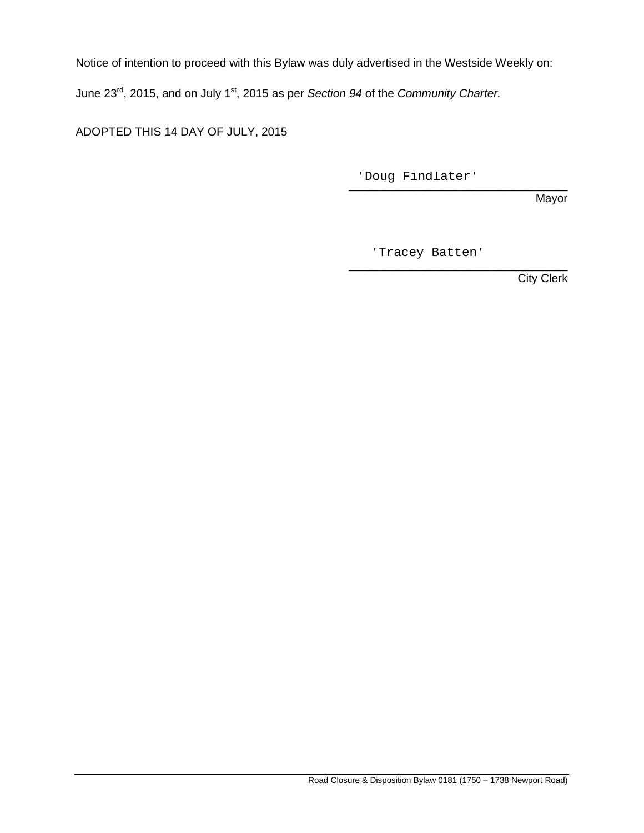Notice of intention to proceed with this Bylaw was duly advertised in the Westside Weekly on:

June 23rd, 2015, and on July 1st, 2015 as per *Section 94* of the *Community Charter.*

ADOPTED THIS 14 DAY OF JULY, 2015

\_\_\_\_\_\_\_\_\_\_\_\_\_\_\_\_\_\_\_\_\_\_\_\_\_\_\_\_\_\_\_\_\_\_ 'Doug Findlater'

Mayor

'Tracey Batten'

\_\_\_\_\_\_\_\_\_\_\_\_\_\_\_\_\_\_\_\_\_\_\_\_\_\_\_\_\_\_\_\_\_\_ **City Clerk**